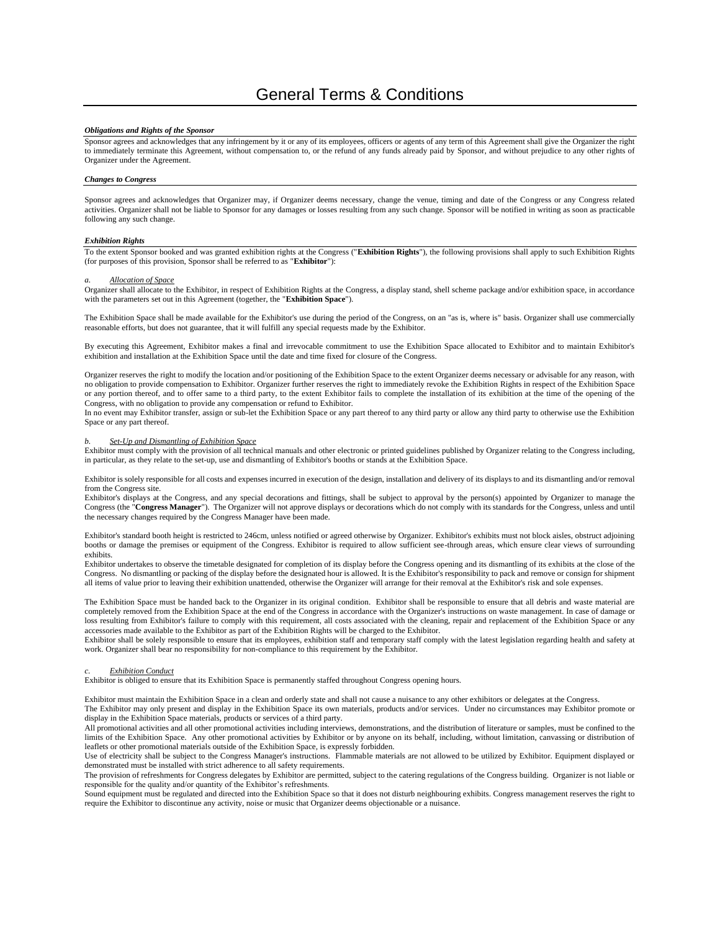# *Obligations and Rights of the Sponsor*

Sponsor agrees and acknowledges that any infringement by it or any of its employees, officers or agents of any term of this Agreement shall give the Organizer the right to immediately terminate this Agreement, without compensation to, or the refund of any funds already paid by Sponsor, and without prejudice to any other rights of Organizer under the Agreement.

### *Changes to Congress*

Sponsor agrees and acknowledges that Organizer may, if Organizer deems necessary, change the venue, timing and date of the Congress or any Congress related activities. Organizer shall not be liable to Sponsor for any damages or losses resulting from any such change. Sponsor will be notified in writing as soon as practicable following any such change.

#### *Exhibition Rights*

To the extent Sponsor booked and was granted exhibition rights at the Congress ("**Exhibition Rights**"), the following provisions shall apply to such Exhibition Rights (for purposes of this provision, Sponsor shall be referred to as "**Exhibitor**"):

#### *a. Allocation of Space*

Organizer shall allocate to the Exhibitor, in respect of Exhibition Rights at the Congress, a display stand, shell scheme package and/or exhibition space, in accordance with the parameters set out in this Agreement (together, the "**Exhibition Space**").

The Exhibition Space shall be made available for the Exhibitor's use during the period of the Congress, on an "as is, where is" basis. Organizer shall use commercially reasonable efforts, but does not guarantee, that it will fulfill any special requests made by the Exhibitor.

By executing this Agreement, Exhibitor makes a final and irrevocable commitment to use the Exhibition Space allocated to Exhibitor and to maintain Exhibitor's exhibition and installation at the Exhibition Space until the date and time fixed for closure of the Congress.

Organizer reserves the right to modify the location and/or positioning of the Exhibition Space to the extent Organizer deems necessary or advisable for any reason, with no obligation to provide compensation to Exhibitor. Organizer further reserves the right to immediately revoke the Exhibition Rights in respect of the Exhibition Space or any portion thereof, and to offer same to a third party, to the extent Exhibitor fails to complete the installation of its exhibition at the time of the opening of the Congress, with no obligation to provide any compensation or refund to Exhibitor.

In no event may Exhibitor transfer, assign or sub-let the Exhibition Space or any part thereof to any third party or allow any third party to otherwise use the Exhibition Space or any part thereof.

### *b. Set-Up and Dismantling of Exhibition Space*

Exhibitor must comply with the provision of all technical manuals and other electronic or printed guidelines published by Organizer relating to the Congress including, in particular, as they relate to the set-up, use and dismantling of Exhibitor's booths or stands at the Exhibition Space.

Exhibitor is solely responsible for all costs and expenses incurred in execution of the design, installation and delivery of its displays to and its dismantling and/or removal from the Congress site.

Exhibitor's displays at the Congress, and any special decorations and fittings, shall be subject to approval by the person(s) appointed by Organizer to manage the Congress (the "**Congress Manager**"). The Organizer will not approve displays or decorations which do not comply with its standards for the Congress, unless and until the necessary changes required by the Congress Manager have been made.

Exhibitor's standard booth height is restricted to 246cm, unless notified or agreed otherwise by Organizer. Exhibitor's exhibits must not block aisles, obstruct adjoining booths or damage the premises or equipment of the Congress. Exhibitor is required to allow sufficient see-through areas, which ensure clear views of surrounding exhibits.

Exhibitor undertakes to observe the timetable designated for completion of its display before the Congress opening and its dismantling of its exhibits at the close of the Congress. No dismantling or packing of the display before the designated hour is allowed. It is the Exhibitor's responsibility to pack and remove or consign for shipment all items of value prior to leaving their exhibition unattended, otherwise the Organizer will arrange for their removal at the Exhibitor's risk and sole expenses.

The Exhibition Space must be handed back to the Organizer in its original condition. Exhibitor shall be responsible to ensure that all debris and waste material are completely removed from the Exhibition Space at the end of the Congress in accordance with the Organizer's instructions on waste management. In case of damage or loss resulting from Exhibitor's failure to comply with this requirement, all costs associated with the cleaning, repair and replacement of the Exhibition Space or any accessories made available to the Exhibitor as part of the Exhibition Rights will be charged to the Exhibitor.

Exhibitor shall be solely responsible to ensure that its employees, exhibition staff and temporary staff comply with the latest legislation regarding health and safety at work. Organizer shall bear no responsibility for non-compliance to this requirement by the Exhibitor.

## *Exhibition Conduct*

Exhibitor is obliged to ensure that its Exhibition Space is permanently staffed throughout Congress opening hours.

Exhibitor must maintain the Exhibition Space in a clean and orderly state and shall not cause a nuisance to any other exhibitors or delegates at the Congress. The Exhibitor may only present and display in the Exhibition Space its own materials, products and/or services. Under no circumstances may Exhibitor promote or

display in the Exhibition Space materials, products or services of a third party. All promotional activities and all other promotional activities including interviews, demonstrations, and the distribution of literature or samples, must be confined to the limits of the Exhibition Space. Any other promotional activities by Exhibitor or by anyone on its behalf, including, without limitation, canvassing or distribution of leaflets or other promotional materials outside of the Exhibition Space, is expressly forbidden.

Use of electricity shall be subject to the Congress Manager's instructions. Flammable materials are not allowed to be utilized by Exhibitor. Equipment displayed or demonstrated must be installed with strict adherence to all safety requirements.

The provision of refreshments for Congress delegates by Exhibitor are permitted, subject to the catering regulations of the Congress building. Organizer is not liable or responsible for the quality and/or quantity of the Exhibitor's refreshments.

Sound equipment must be regulated and directed into the Exhibition Space so that it does not disturb neighbouring exhibits. Congress management reserves the right to require the Exhibitor to discontinue any activity, noise or music that Organizer deems objectionable or a nuisance.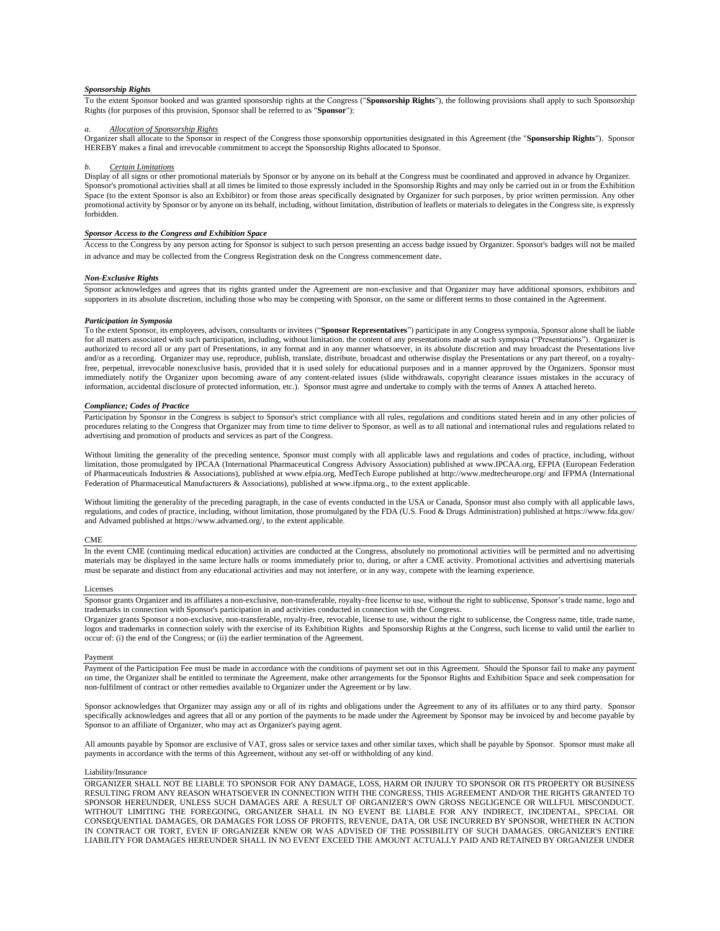# *Sponsorship Rights*

To the extent Sponsor booked and was granted sponsorship rights at the Congress ("**Sponsorship Rights**"), the following provisions shall apply to such Sponsorship Rights (for purposes of this provision, Sponsor shall be referred to as "**Sponsor**"):

# *a. Allocation of Sponsorship Rights*

Organizer shall allocate to the Sponsor in respect of the Congress those sponsorship opportunities designated in this Agreement (the "**Sponsorship Rights**"). Sponsor HEREBY makes a final and irrevocable commitment to accept the Sponsorship Rights allocated to Sponsor.

#### *b. Certain Limitations*

Display of all signs or other promotional materials by Sponsor or by anyone on its behalf at the Congress must be coordinated and approved in advance by Organizer. Sponsor's promotional activities shall at all times be limited to those expressly included in the Sponsorship Rights and may only be carried out in or from the Exhibition Space (to the extent Sponsor is also an Exhibitor) or from those areas specifically designated by Organizer for such purposes, by prior written permission. Any other promotional activity by Sponsor or by anyone on its behalf, including, without limitation, distribution of leaflets or materials to delegates in the Congress site, is expressly forbidden.

# *Sponsor Access to the Congress and Exhibition Space*

Access to the Congress by any person acting for Sponsor is subject to such person presenting an access badge issued by Organizer. Sponsor's badges will not be mailed in advance and may be collected from the Congress Registration desk on the Congress commencement date.

### *Non-Exclusive Rights*

Sponsor acknowledges and agrees that its rights granted under the Agreement are non-exclusive and that Organizer may have additional sponsors, exhibitors and supporters in its absolute discretion, including those who may be competing with Sponsor, on the same or different terms to those contained in the Agreement.

### *Participation in Symposia*

To the extent Sponsor, its employees, advisors, consultants or invitees ("**Sponsor Representatives**") participate in any Congress symposia, Sponsor alone shall be liable for all matters associated with such participation, including, without limitation. the content of any presentations made at such symposia ("Presentations"). Organizer is authorized to record all or any part of Presentations, in any format and in any manner whatsoever, in its absolute discretion and may broadcast the Presentations live and/or as a recording. Organizer may use, reproduce, publish, translate, distribute, broadcast and otherwise display the Presentations or any part thereof, on a royaltyfree, perpetual, irrevocable nonexclusive basis, provided that it is used solely for educational purposes and in a manner approved by the Organizers. Sponsor must immediately notify the Organizer upon becoming aware of any content-related issues (slide withdrawals, copyright clearance issues mistakes in the accuracy of information, accidental disclosure of protected information, etc.). Sponsor must agree and undertake to comply with the terms of Annex A attached hereto.

### *Compliance; Codes of Practice*

Participation by Sponsor in the Congress is subject to Sponsor's strict compliance with all rules, regulations and conditions stated herein and in any other policies of procedures relating to the Congress that Organizer may from time to time deliver to Sponsor, as well as to all national and international rules and regulations related to advertising and promotion of products and services as part of the Congress.

Without limiting the generality of the preceding sentence, Sponsor must comply with all applicable laws and regulations and codes of practice, including, without limitation, those promulgated by IPCAA (International Pharmaceutical Congress Advisory Association) published a[t www.IPCAA.org,](http://www.ipcaa.org/) EFPIA (European Federation of Pharmaceuticals Industries & Associations), published a[t www.efpia.org,](http://www.efpia.org/) MedTech Europe published at http://www.medtecheurope.org/ and IFPMA (International Federation of Pharmaceutical Manufacturers & Associations), published a[t www.ifpma.org.,](http://www.ifpma.org/) to the extent applicable.

Without limiting the generality of the preceding paragraph, in the case of events conducted in the USA or Canada, Sponsor must also comply with all applicable laws, regulations, and codes of practice, including, without limitation, those promulgated by the FDA (U.S. Food & Drugs Administration) published a[t https://www.fda.gov/](https://www.fda.gov/) and Advamed published a[t https://www.advamed.org/,](https://www.advamed.org/) to the extent applicable.

#### CME

In the event CME (continuing medical education) activities are conducted at the Congress, absolutely no promotional activities will be permitted and no advertising materials may be displayed in the same lecture halls or rooms immediately prior to, during, or after a CME activity. Promotional activities and advertising materials must be separate and distinct from any educational activities and may not interfere, or in any way, compete with the learning experience.

#### Licenses

Sponsor grants Organizer and its affiliates a non-exclusive, non-transferable, royalty-free license to use, without the right to sublicense, Sponsor's trade name, logo and trademarks in connection with Sponsor's participation in and activities conducted in connection with the Congress.

Organizer grants Sponsor a non-exclusive, non-transferable, royalty-free, revocable, license to use, without the right to sublicense, the Congress name, title, trade name, logos and trademarks in connection solely with the exercise of its Exhibition Rights and Sponsorship Rights at the Congress, such license to valid until the earlier to occur of: (i) the end of the Congress; or (ii) the earlier termination of the Agreement.

### Payment

Payment of the Participation Fee must be made in accordance with the conditions of payment set out in this Agreement. Should the Sponsor fail to make any payment on time, the Organizer shall be entitled to terminate the Agreement, make other arrangements for the Sponsor Rights and Exhibition Space and seek compensation for non-fulfilment of contract or other remedies available to Organizer under the Agreement or by law.

Sponsor acknowledges that Organizer may assign any or all of its rights and obligations under the Agreement to any of its affiliates or to any third party. Sponsor specifically acknowledges and agrees that all or any portion of the payments to be made under the Agreement by Sponsor may be invoiced by and become payable by Sponsor to an affiliate of Organizer, who may act as Organizer's paying agent.

All amounts payable by Sponsor are exclusive of VAT, gross sales or service taxes and other similar taxes, which shall be payable by Sponsor. Sponsor must make all payments in accordance with the terms of this Agreement, without any set-off or withholding of any kind.

#### Liability/Insurance

ORGANIZER SHALL NOT BE LIABLE TO SPONSOR FOR ANY DAMAGE, LOSS, HARM OR INJURY TO SPONSOR OR ITS PROPERTY OR BUSINESS RESULTING FROM ANY REASON WHATSOEVER IN CONNECTION WITH THE CONGRESS, THIS AGREEMENT AND/OR THE RIGHTS GRANTED TO SPONSOR HEREUNDER, UNLESS SUCH DAMAGES ARE A RESULT OF ORGANIZER'S OWN GROSS NEGLIGENCE OR WILLFUL MISCONDUCT. WITHOUT LIMITING THE FOREGOING, ORGANIZER SHALL IN NO EVENT BE LIABLE FOR ANY INDIRECT, INCIDENTAL, SPECIAL OR CONSEQUENTIAL DAMAGES, OR DAMAGES FOR LOSS OF PROFITS, REVENUE, DATA, OR USE INCURRED BY SPONSOR, WHETHER IN ACTION IN CONTRACT OR TORT, EVEN IF ORGANIZER KNEW OR WAS ADVISED OF THE POSSIBILITY OF SUCH DAMAGES. ORGANIZER'S ENTIRE LIABILITY FOR DAMAGES HEREUNDER SHALL IN NO EVENT EXCEED THE AMOUNT ACTUALLY PAID AND RETAINED BY ORGANIZER UNDER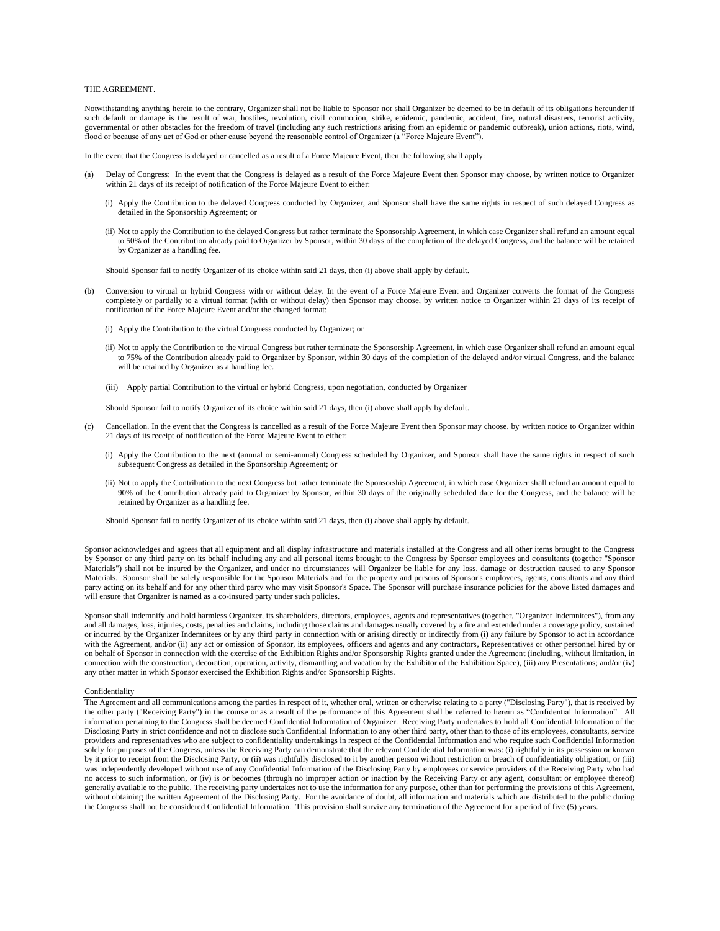# THE AGREEMENT.

Notwithstanding anything herein to the contrary, Organizer shall not be liable to Sponsor nor shall Organizer be deemed to be in default of its obligations hereunder if such default or damage is the result of war, hostiles, revolution, civil commotion, strike, epidemic, pandemic, accident, fire, natural disasters, terrorist activity, governmental or other obstacles for the freedom of travel (including any such restrictions arising from an epidemic or pandemic outbreak), union actions, riots, wind, flood or because of any act of God or other cause beyond the reasonable control of Organizer (a "Force Majeure Event").

In the event that the Congress is delayed or cancelled as a result of a Force Majeure Event, then the following shall apply:

- (a) Delay of Congress: In the event that the Congress is delayed as a result of the Force Majeure Event then Sponsor may choose, by written notice to Organizer within 21 days of its receipt of notification of the Force Majeure Event to either:
	- (i) Apply the Contribution to the delayed Congress conducted by Organizer, and Sponsor shall have the same rights in respect of such delayed Congress as detailed in the Sponsorship Agreement; or
	- (ii) Not to apply the Contribution to the delayed Congress but rather terminate the Sponsorship Agreement, in which case Organizer shall refund an amount equal to 50% of the Contribution already paid to Organizer by Sponsor, within 30 days of the completion of the delayed Congress, and the balance will be retained by Organizer as a handling fee.

Should Sponsor fail to notify Organizer of its choice within said 21 days, then (i) above shall apply by default.

- (b) Conversion to virtual or hybrid Congress with or without delay. In the event of a Force Majeure Event and Organizer converts the format of the Congress completely or partially to a virtual format (with or without delay) then Sponsor may choose, by written notice to Organizer within 21 days of its receipt of notification of the Force Majeure Event and/or the changed format:
	- (i) Apply the Contribution to the virtual Congress conducted by Organizer; or
	- (ii) Not to apply the Contribution to the virtual Congress but rather terminate the Sponsorship Agreement, in which case Organizer shall refund an amount equal to 75% of the Contribution already paid to Organizer by Sponsor, within 30 days of the completion of the delayed and/or virtual Congress, and the balance will be retained by Organizer as a handling fee.
	- (iii) Apply partial Contribution to the virtual or hybrid Congress, upon negotiation, conducted by Organizer

Should Sponsor fail to notify Organizer of its choice within said 21 days, then (i) above shall apply by default.

- (c) Cancellation. In the event that the Congress is cancelled as a result of the Force Majeure Event then Sponsor may choose, by written notice to Organizer within 21 days of its receipt of notification of the Force Majeure Event to either:
	- (i) Apply the Contribution to the next (annual or semi-annual) Congress scheduled by Organizer, and Sponsor shall have the same rights in respect of such subsequent Congress as detailed in the Sponsorship Agreement; or
	- (ii) Not to apply the Contribution to the next Congress but rather terminate the Sponsorship Agreement, in which case Organizer shall refund an amount equal to 90% of the Contribution already paid to Organizer by Sponsor, within 30 days of the originally scheduled date for the Congress, and the balance will be retained by Organizer as a handling fee.

Should Sponsor fail to notify Organizer of its choice within said 21 days, then (i) above shall apply by default.

Sponsor acknowledges and agrees that all equipment and all display infrastructure and materials installed at the Congress and all other items brought to the Congress by Sponsor or any third party on its behalf including any and all personal items brought to the Congress by Sponsor employees and consultants (together "Sponsor Materials") shall not be insured by the Organizer, and under no circumstances will Organizer be liable for any loss, damage or destruction caused to any Sponsor Materials. Sponsor shall be solely responsible for the Sponsor Materials and for the property and persons of Sponsor's employees, agents, consultants and any third party acting on its behalf and for any other third party who may visit Sponsor's Space. The Sponsor will purchase insurance policies for the above listed damages and will ensure that Organizer is named as a co-insured party under such policies.

Sponsor shall indemnify and hold harmless Organizer, its shareholders, directors, employees, agents and representatives (together, "Organizer Indemnitees"), from any and all damages, loss, injuries, costs, penalties and claims, including those claims and damages usually covered by a fire and extended under a coverage policy, sustained or incurred by the Organizer Indemnitees or by any third party in connection with or arising directly or indirectly from (i) any failure by Sponsor to act in accordance with the Agreement, and/or (ii) any act or omission of Sponsor, its employees, officers and agents and any contractors, Representatives or other personnel hired by or on behalf of Sponsor in connection with the exercise of the Exhibition Rights and/or Sponsorship Rights granted under the Agreement (including, without limitation, in connection with the construction, decoration, operation, activity, dismantling and vacation by the Exhibitor of the Exhibition Space), (iii) any Presentations; and/or (iv) any other matter in which Sponsor exercised the Exhibition Rights and/or Sponsorship Rights.

#### Confidentiality

The Agreement and all communications among the parties in respect of it, whether oral, written or otherwise relating to a party ("Disclosing Party"), that is received by the other party ("Receiving Party") in the course or as a result of the performance of this Agreement shall be referred to herein as "Confidential Information". All information pertaining to the Congress shall be deemed Confidential Information of Organizer. Receiving Party undertakes to hold all Confidential Information of the Disclosing Party in strict confidence and not to disclose such Confidential Information to any other third party, other than to those of its employees, consultants, service providers and representatives who are subject to confidentiality undertakings in respect of the Confidential Information and who require such Confidential Information solely for purposes of the Congress, unless the Receiving Party can demonstrate that the relevant Confidential Information was: (i) rightfully in its possession or known by it prior to receipt from the Disclosing Party, or (ii) was rightfully disclosed to it by another person without restriction or breach of confidentiality obligation, or (iii) was independently developed without use of any Confidential Information of the Disclosing Party by employees or service providers of the Receiving Party who had no access to such information, or (iv) is or becomes (through no improper action or inaction by the Receiving Party or any agent, consultant or employee thereof) generally available to the public. The receiving party undertakes not to use the information for any purpose, other than for performing the provisions of this Agreement, without obtaining the written Agreement of the Disclosing Party. For the avoidance of doubt, all information and materials which are distributed to the public during the Congress shall not be considered Confidential Information. This provision shall survive any termination of the Agreement for a period of five (5) years.